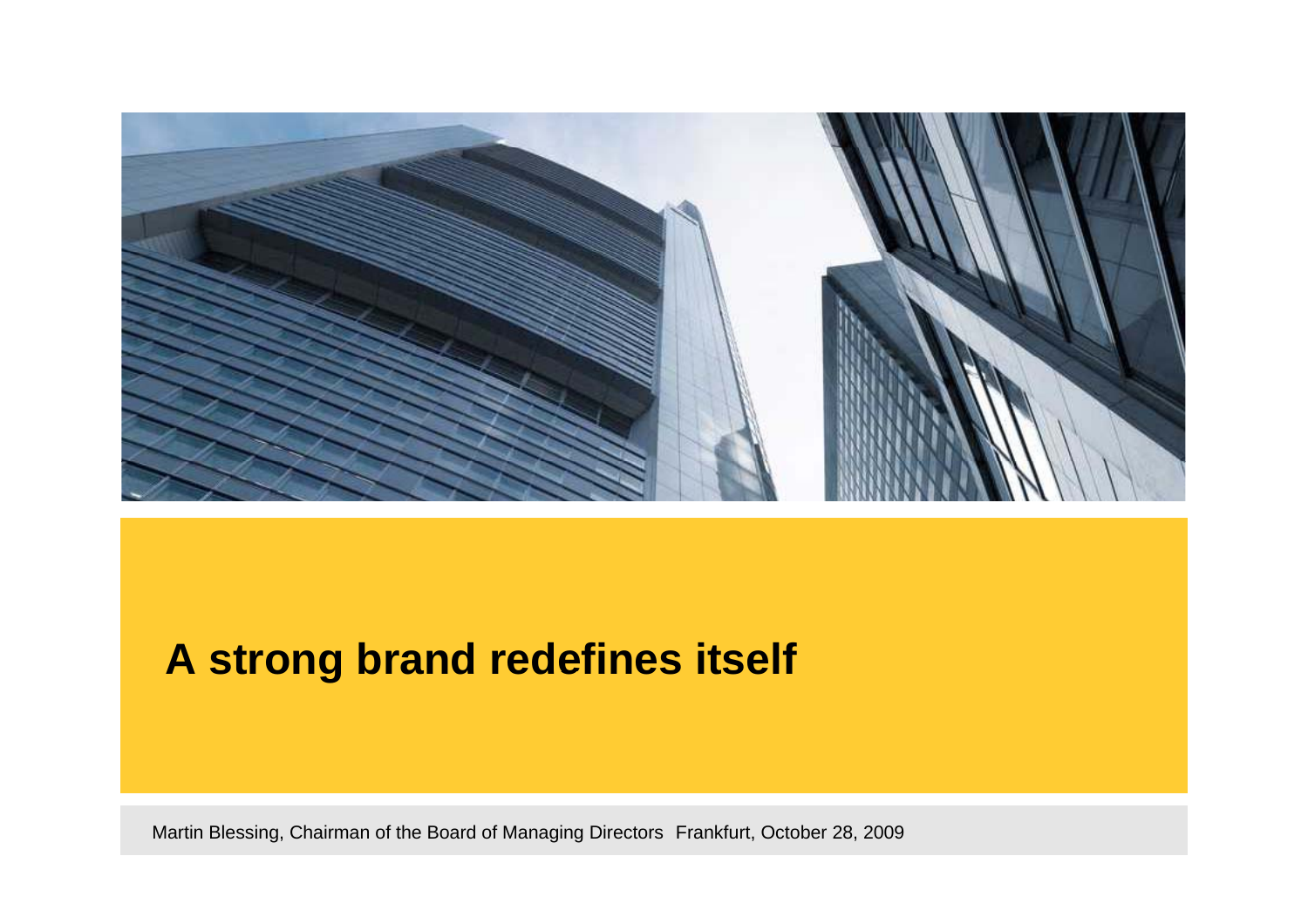

#### **A strong brand redefines itself redefines**

Martin Blessing, Chairman of the Board of Managing Directors Frankfurt, October 28, 2009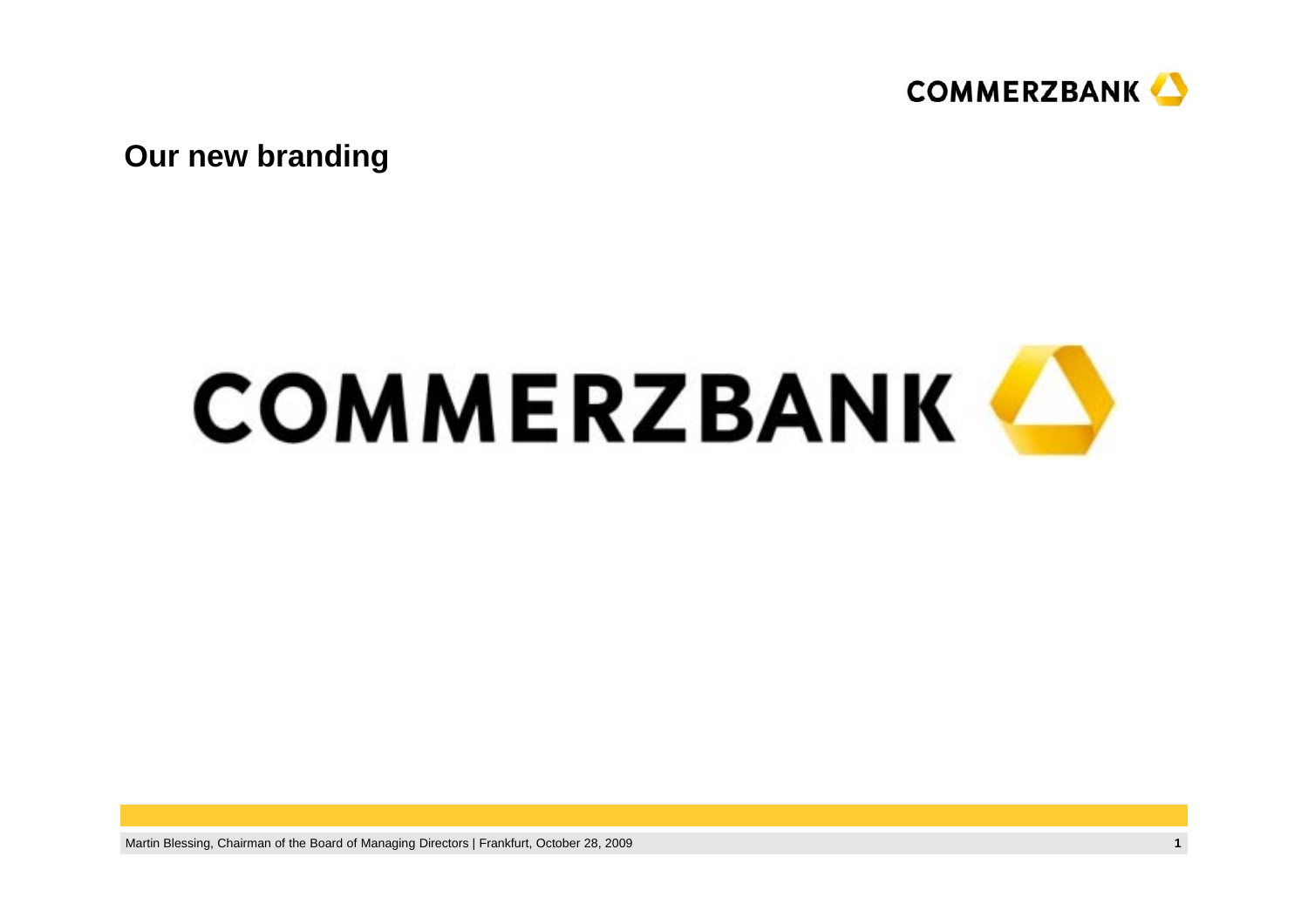

**Our new branding** 

# **COMMERZBANK**

Martin Blessing, Chairman of the Board of Managing Directors | Frankfurt, October 28, 2009 **1**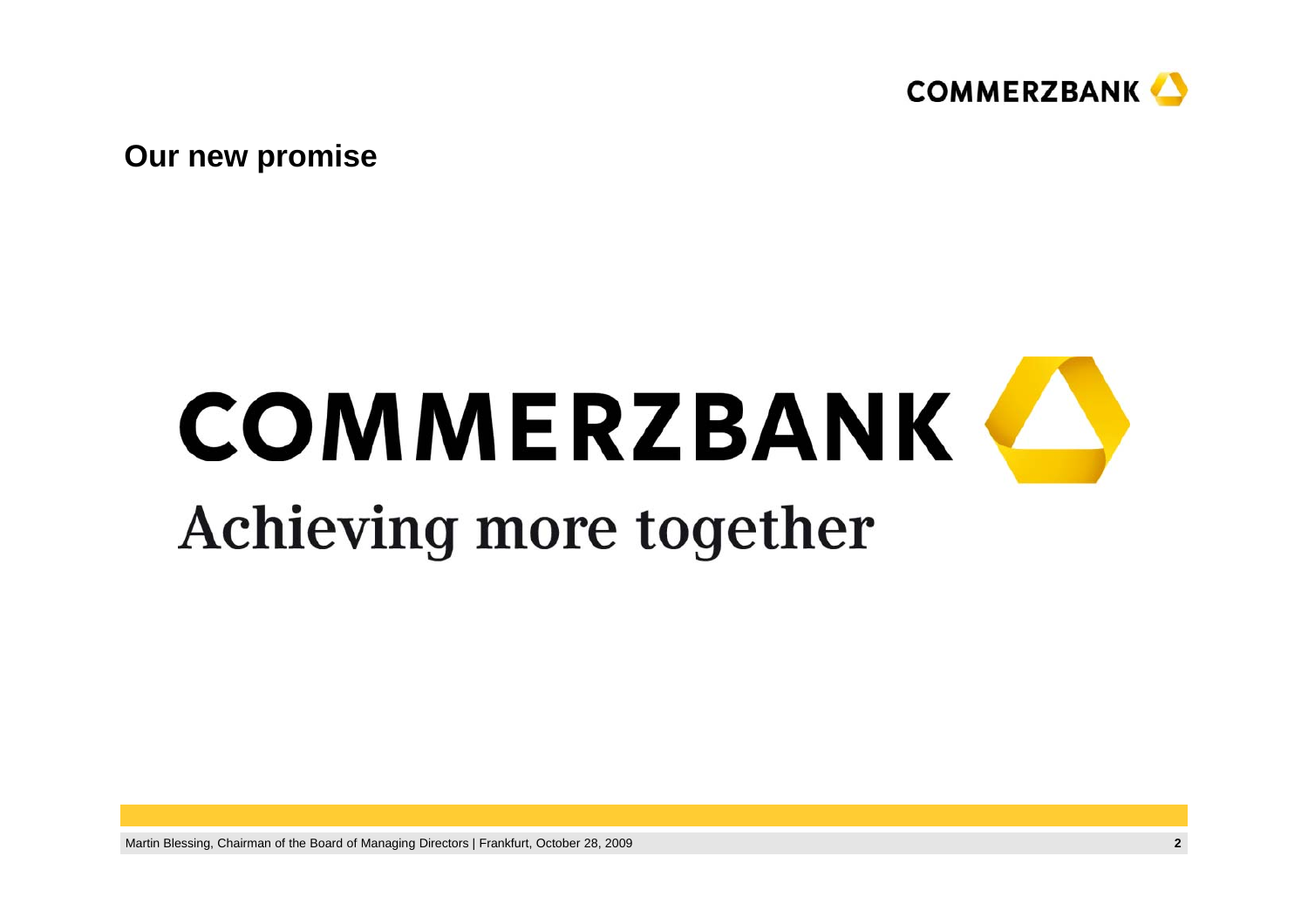

**O i ur new promise**

## **COMMERZBANK** Achieving more together

Martin Blessing, Chairman of the Board of Managing Directors | Frankfurt, October 28, 2009 **2**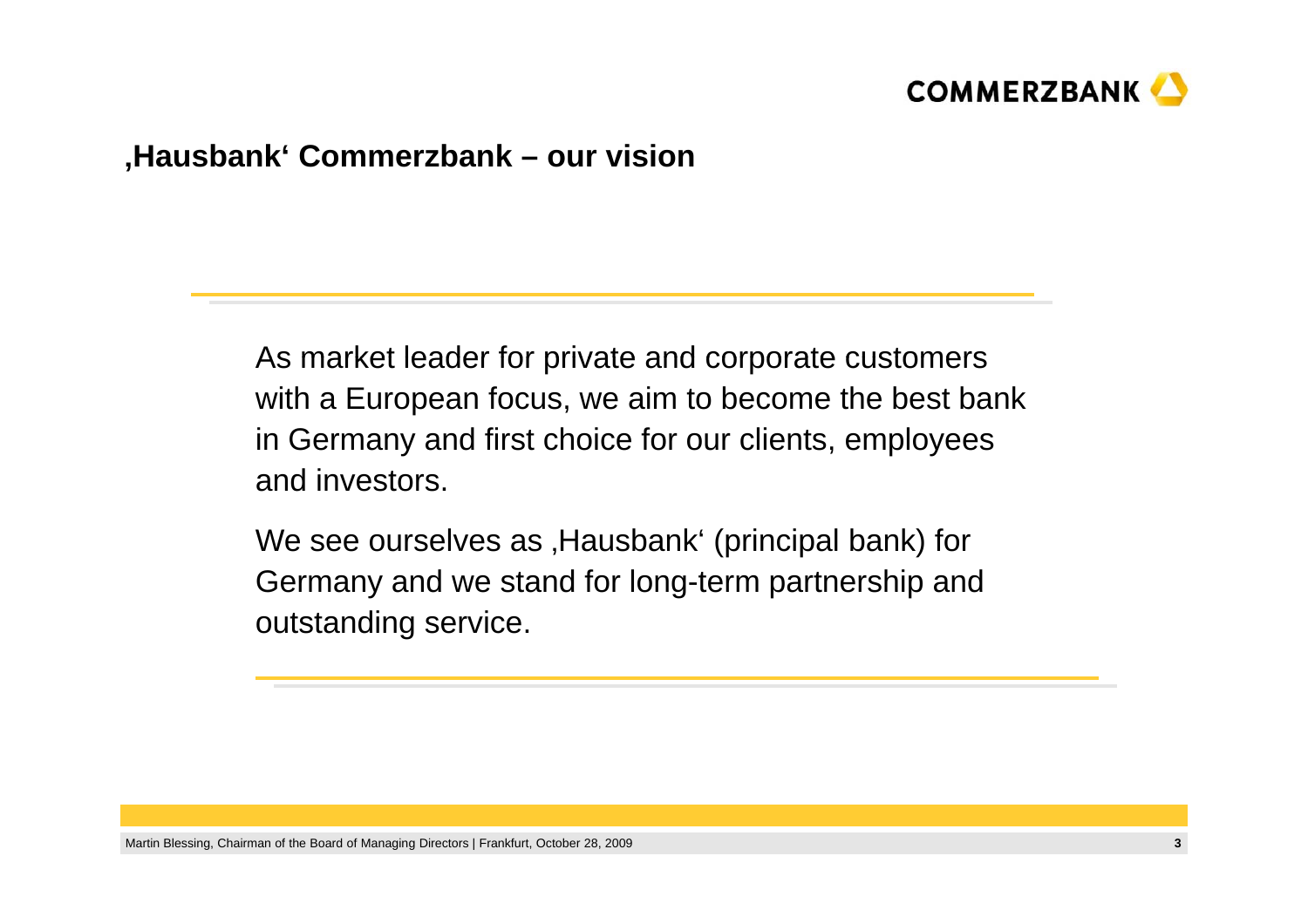

#### **'H b k' C b k Haus bank' Commerz ban k – our vi i s on**

As market leader for private and corporate customers with a European focus, we aim to become the best bank in Germany and first choice for our clients, employees and investors.

We see ourselves as , Hausbank' (principal bank) for Germany and we stand for long-term partnership and outstanding service.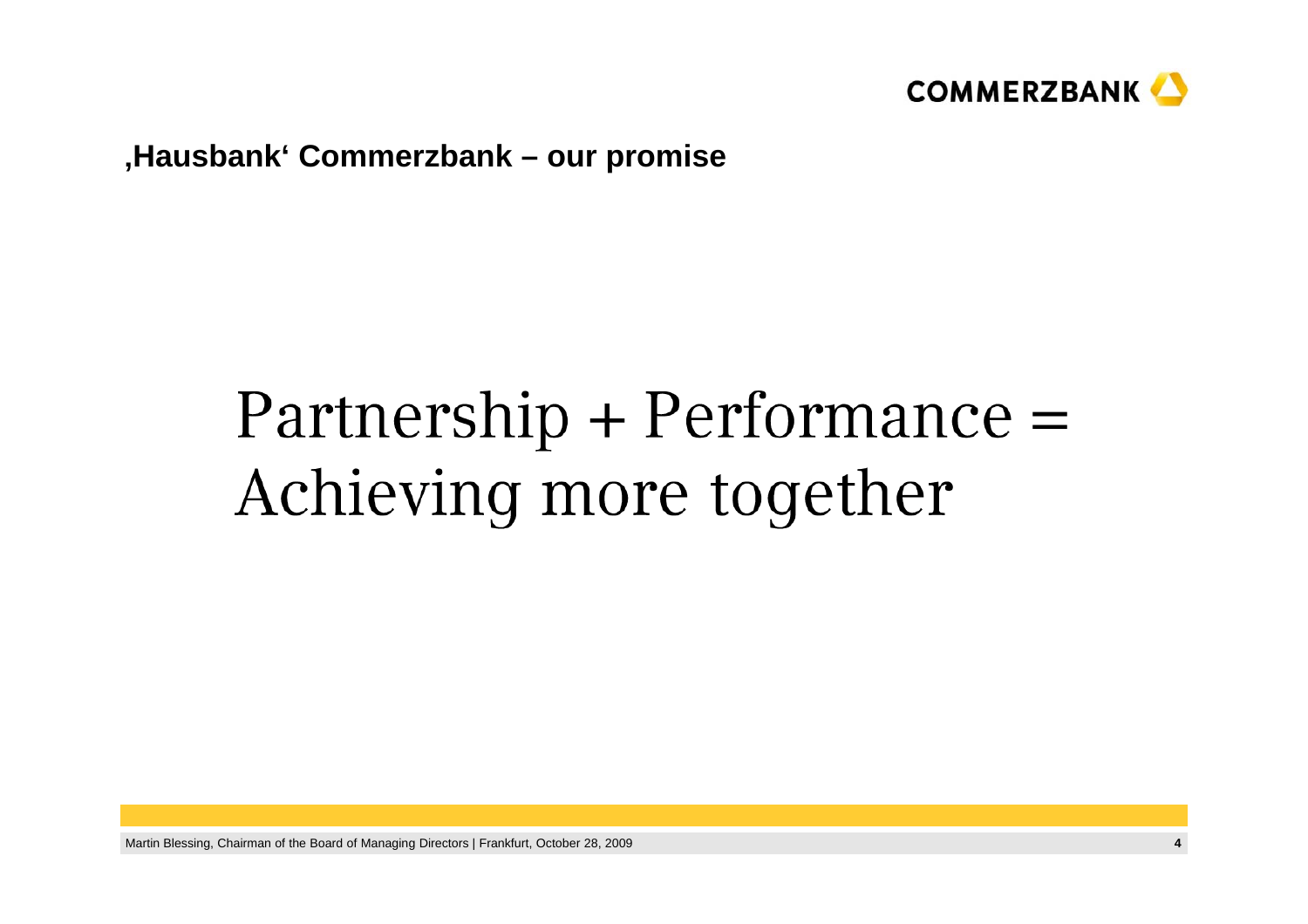

#### **'H b k' C b k Haus bank' Commerz ban k – our promise**

### $Partnership + Performance =$ Achieving more together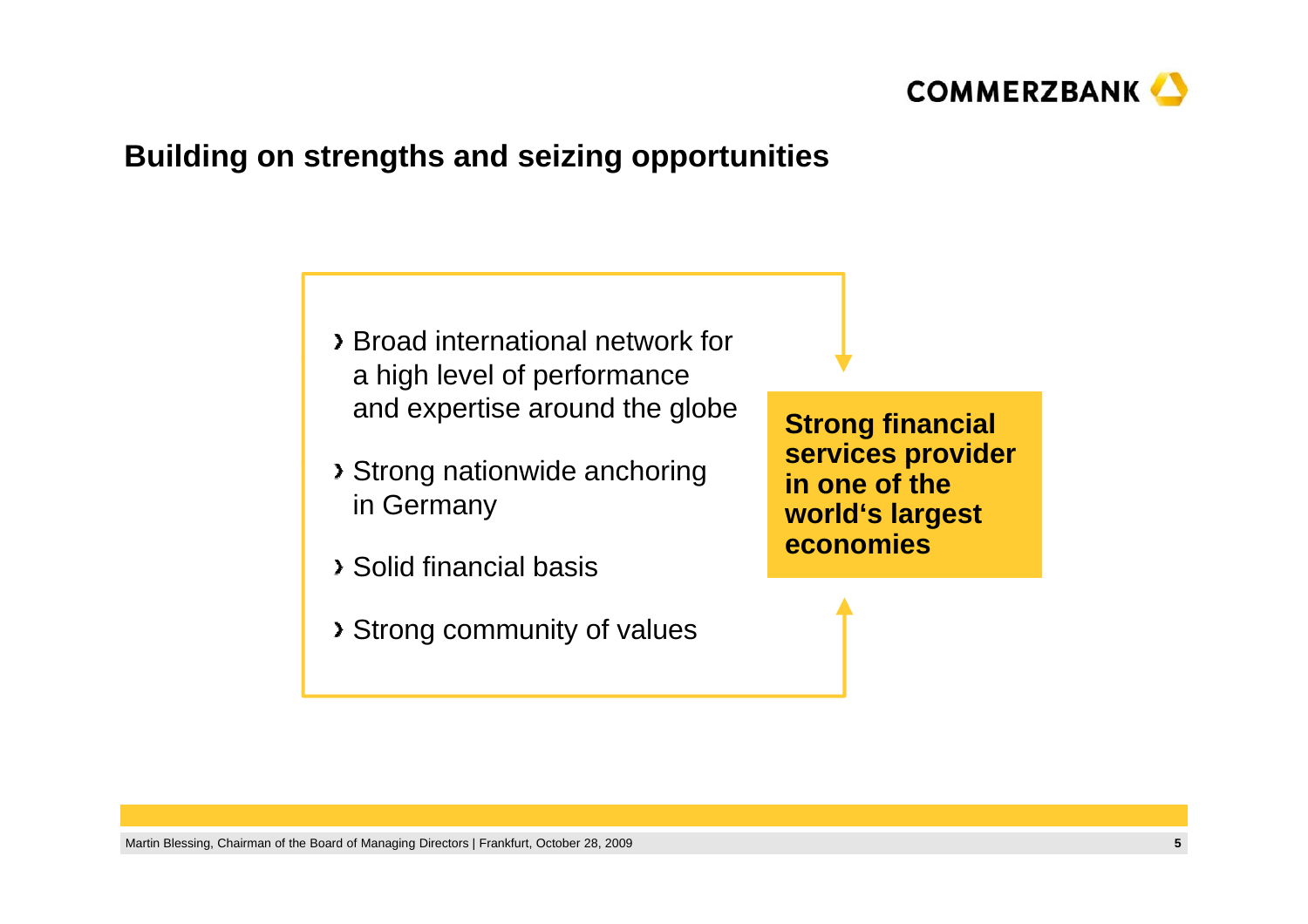

#### **B ildi t th d i i t iti uilding on s trengths an d seizing oppor tunities**

- Broad international network for a high level of performance and expertise around the globe
- **Strong nationwide anchoring bervices provider** in Germany
- Solid financial basis \_\_\_\_\_\_\_\_\_\_\_\_\_
- Strong community of values

**Strong financial**  services provider **in one of the world's largest economies**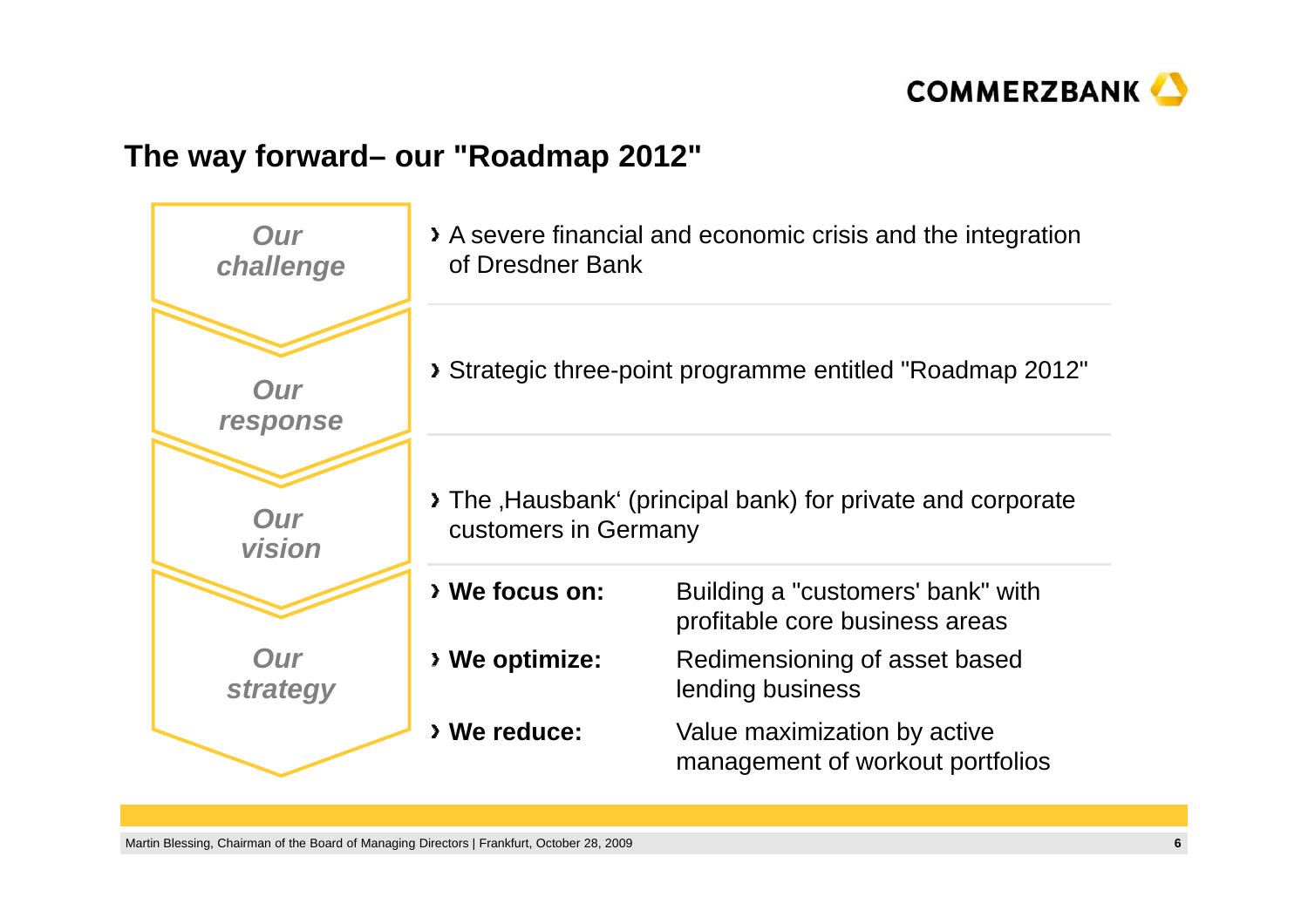

#### **Th f d e way forward– our "R d 2012" "Roadmap**

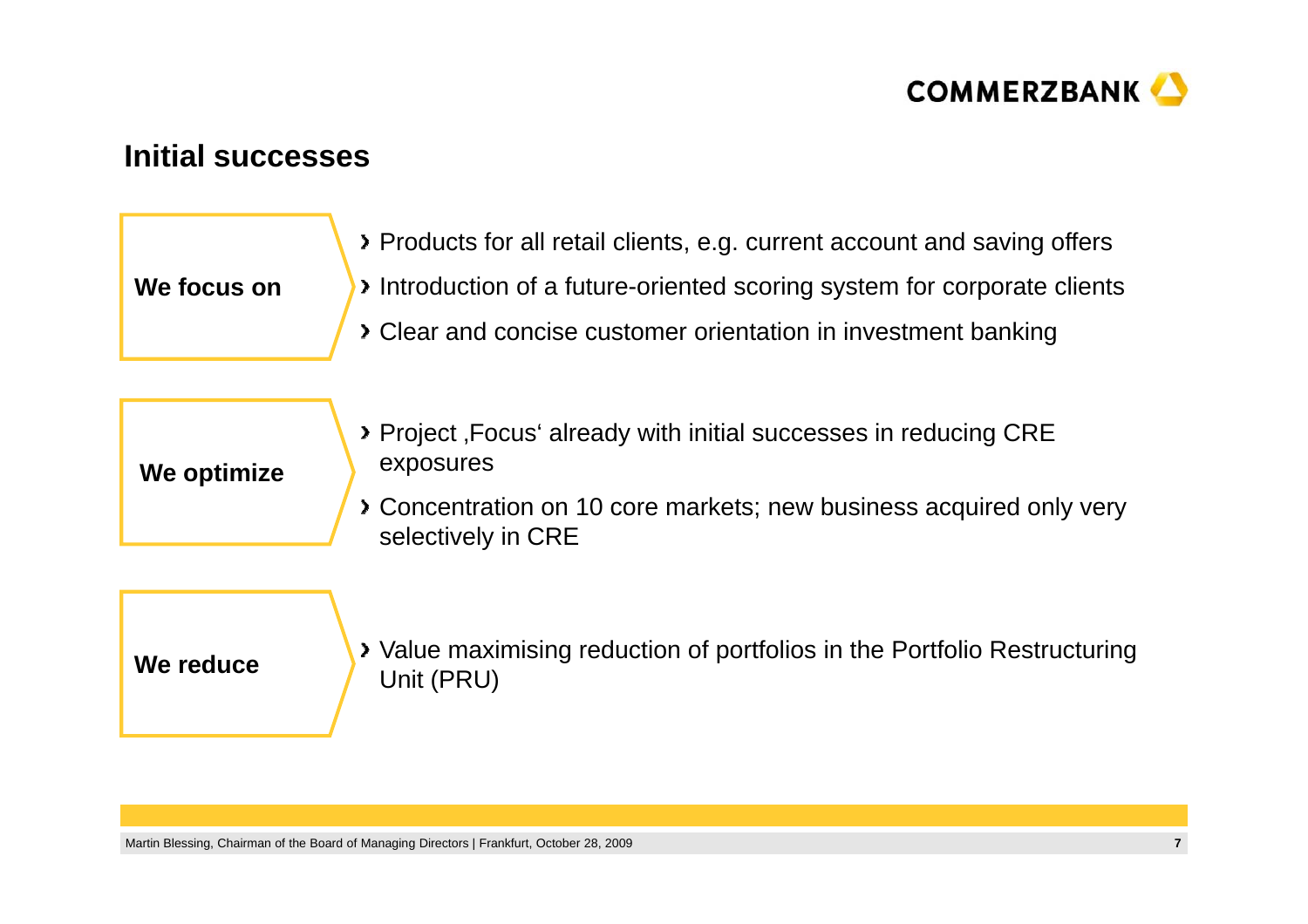

#### **I iti l Initial successes**

| We focus on | > Products for all retail clients, e.g. current account and saving offers<br>Introduction of a future-oriented scoring system for corporate clients<br>> Clear and concise customer orientation in investment banking |
|-------------|-----------------------------------------------------------------------------------------------------------------------------------------------------------------------------------------------------------------------|
| We optimize | > Project, Focus' already with initial successes in reducing CRE<br>exposures<br>> Concentration on 10 core markets; new business acquired only very                                                                  |
|             | selectively in CRE                                                                                                                                                                                                    |

Value maximising reduction of portfolios in the Portfolio Restructuring **We reduce**  $\overline{U}$  value maximum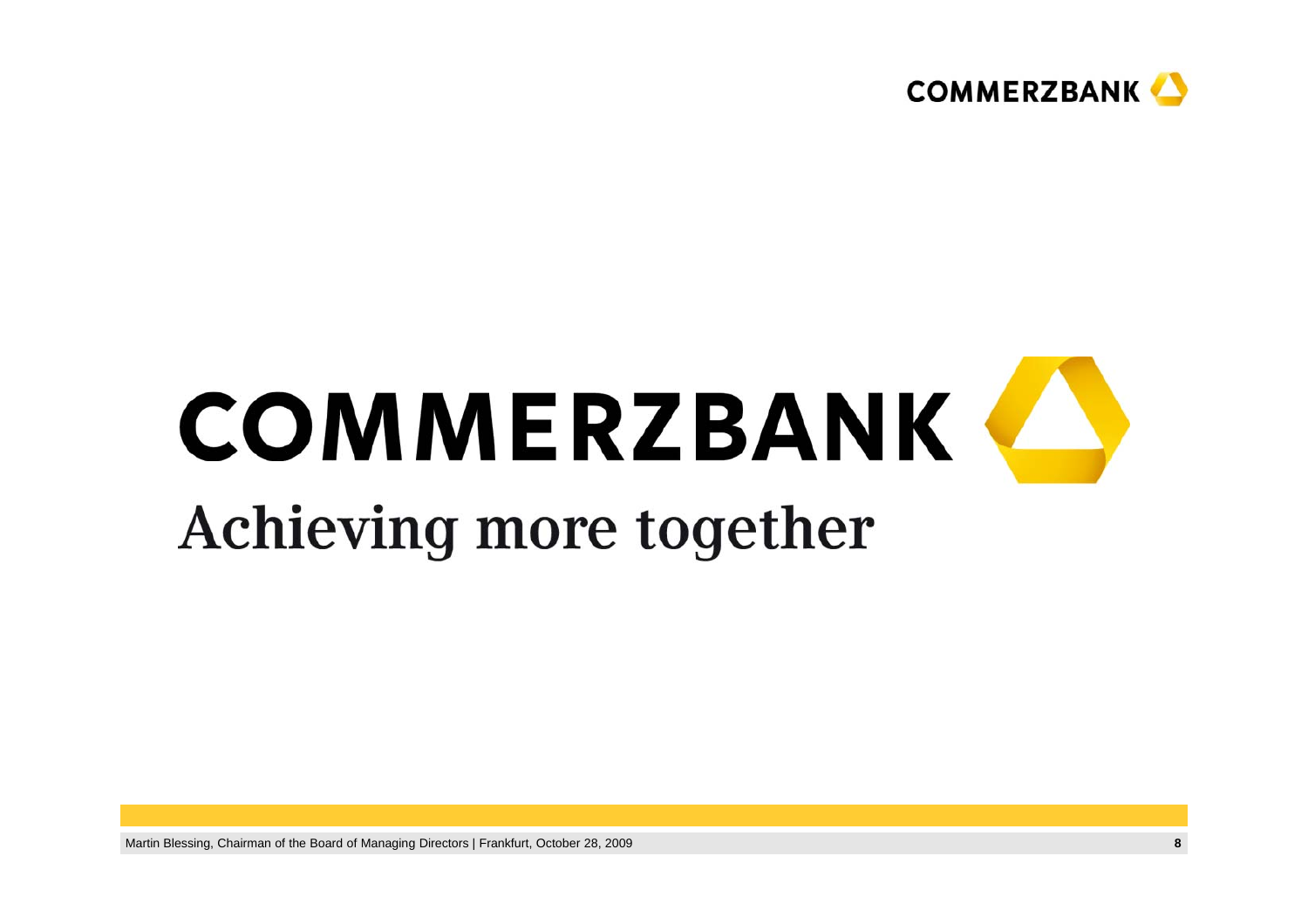

### **COMMERZBANK** Achieving more together